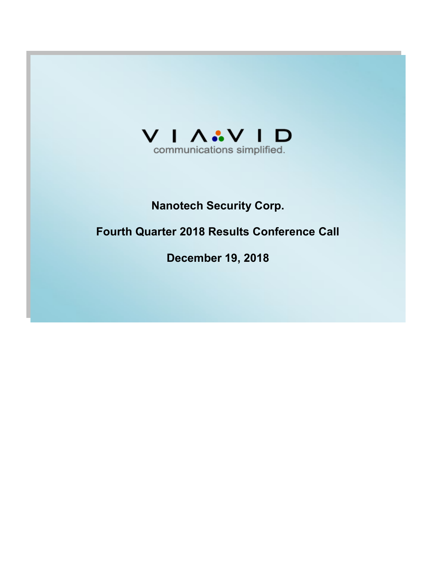

# Nanotech Security Corp.

# Fourth Quarter 2018 Results Conference Call

December 19, 2018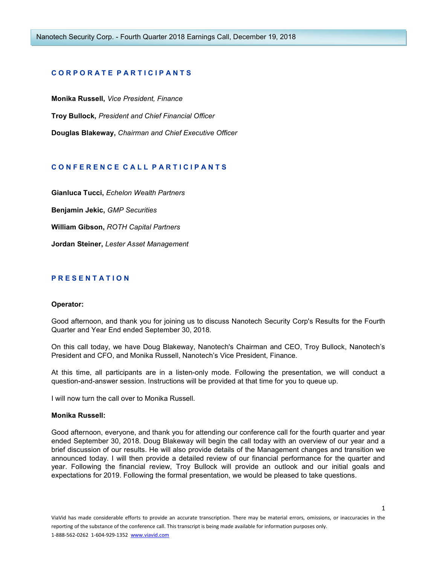# CORPORATE PARTICIPANTS

Monika Russell, Vice President, Finance Troy Bullock, President and Chief Financial Officer Douglas Blakeway, Chairman and Chief Executive Officer

# CONFERENCE CALL PARTICIPANTS

Gianluca Tucci, Echelon Wealth Partners Benjamin Jekic, GMP Securities William Gibson, ROTH Capital Partners

Jordan Steiner, Lester Asset Management

# P R E S E N T A T I O N

#### Operator:

Good afternoon, and thank you for joining us to discuss Nanotech Security Corp's Results for the Fourth Quarter and Year End ended September 30, 2018.

On this call today, we have Doug Blakeway, Nanotech's Chairman and CEO, Troy Bullock, Nanotech's President and CFO, and Monika Russell, Nanotech's Vice President, Finance.

At this time, all participants are in a listen-only mode. Following the presentation, we will conduct a question-and-answer session. Instructions will be provided at that time for you to queue up.

I will now turn the call over to Monika Russell.

#### Monika Russell:

Good afternoon, everyone, and thank you for attending our conference call for the fourth quarter and year ended September 30, 2018. Doug Blakeway will begin the call today with an overview of our year and a brief discussion of our results. He will also provide details of the Management changes and transition we announced today. I will then provide a detailed review of our financial performance for the quarter and year. Following the financial review, Troy Bullock will provide an outlook and our initial goals and expectations for 2019. Following the formal presentation, we would be pleased to take questions.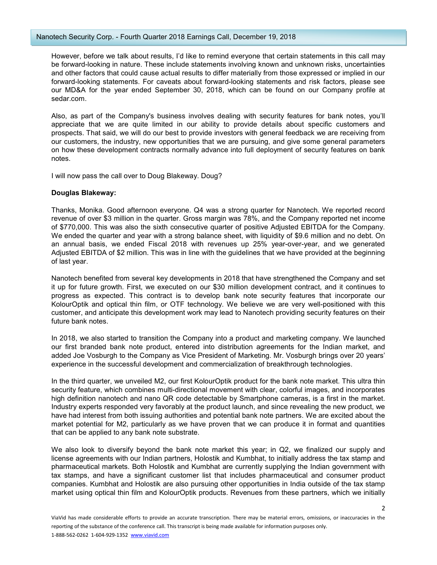#### Nanotech Security Corp. - Fourth Quarter 2018 Earnings Call, December 19, 2018

However, before we talk about results, I'd like to remind everyone that certain statements in this call may be forward-looking in nature. These include statements involving known and unknown risks, uncertainties and other factors that could cause actual results to differ materially from those expressed or implied in our forward-looking statements. For caveats about forward-looking statements and risk factors, please see our MD&A for the year ended September 30, 2018, which can be found on our Company profile at sedar.com.

Also, as part of the Company's business involves dealing with security features for bank notes, you'll appreciate that we are quite limited in our ability to provide details about specific customers and prospects. That said, we will do our best to provide investors with general feedback we are receiving from our customers, the industry, new opportunities that we are pursuing, and give some general parameters on how these development contracts normally advance into full deployment of security features on bank notes.

I will now pass the call over to Doug Blakeway. Doug?

#### Douglas Blakeway:

Thanks, Monika. Good afternoon everyone. Q4 was a strong quarter for Nanotech. We reported record revenue of over \$3 million in the quarter. Gross margin was 78%, and the Company reported net income of \$770,000. This was also the sixth consecutive quarter of positive Adjusted EBITDA for the Company. We ended the quarter and year with a strong balance sheet, with liquidity of \$9.6 million and no debt. On an annual basis, we ended Fiscal 2018 with revenues up 25% year-over-year, and we generated Adjusted EBITDA of \$2 million. This was in line with the guidelines that we have provided at the beginning of last year.

Nanotech benefited from several key developments in 2018 that have strengthened the Company and set it up for future growth. First, we executed on our \$30 million development contract, and it continues to progress as expected. This contract is to develop bank note security features that incorporate our KolourOptik and optical thin film, or OTF technology. We believe we are very well-positioned with this customer, and anticipate this development work may lead to Nanotech providing security features on their future bank notes.

In 2018, we also started to transition the Company into a product and marketing company. We launched our first branded bank note product, entered into distribution agreements for the Indian market, and added Joe Vosburgh to the Company as Vice President of Marketing. Mr. Vosburgh brings over 20 years' experience in the successful development and commercialization of breakthrough technologies.

In the third quarter, we unveiled M2, our first KolourOptik product for the bank note market. This ultra thin security feature, which combines multi-directional movement with clear, colorful images, and incorporates high definition nanotech and nano QR code detectable by Smartphone cameras, is a first in the market. Industry experts responded very favorably at the product launch, and since revealing the new product, we have had interest from both issuing authorities and potential bank note partners. We are excited about the market potential for M2, particularly as we have proven that we can produce it in format and quantities that can be applied to any bank note substrate.

We also look to diversify beyond the bank note market this year; in Q2, we finalized our supply and license agreements with our Indian partners, Holostik and Kumbhat, to initially address the tax stamp and pharmaceutical markets. Both Holostik and Kumbhat are currently supplying the Indian government with tax stamps, and have a significant customer list that includes pharmaceutical and consumer product companies. Kumbhat and Holostik are also pursuing other opportunities in India outside of the tax stamp market using optical thin film and KolourOptik products. Revenues from these partners, which we initially

 $\overline{\phantom{a}}$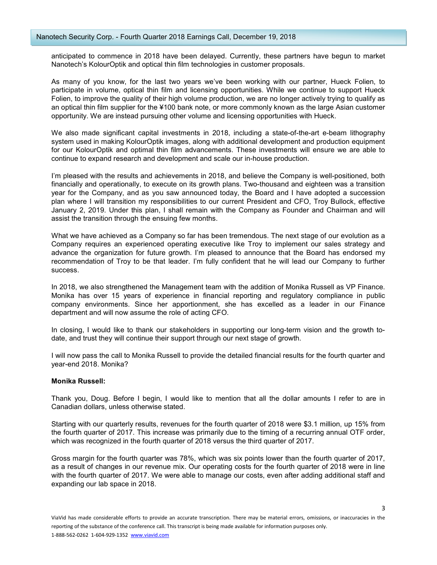anticipated to commence in 2018 have been delayed. Currently, these partners have begun to market Nanotech's KolourOptik and optical thin film technologies in customer proposals.

As many of you know, for the last two years we've been working with our partner, Hueck Folien, to participate in volume, optical thin film and licensing opportunities. While we continue to support Hueck Folien, to improve the quality of their high volume production, we are no longer actively trying to qualify as an optical thin film supplier for the ¥100 bank note, or more commonly known as the large Asian customer opportunity. We are instead pursuing other volume and licensing opportunities with Hueck.

We also made significant capital investments in 2018, including a state-of-the-art e-beam lithography system used in making KolourOptik images, along with additional development and production equipment for our KolourOptik and optimal thin film advancements. These investments will ensure we are able to continue to expand research and development and scale our in-house production.

I'm pleased with the results and achievements in 2018, and believe the Company is well-positioned, both financially and operationally, to execute on its growth plans. Two-thousand and eighteen was a transition year for the Company, and as you saw announced today, the Board and I have adopted a succession plan where I will transition my responsibilities to our current President and CFO, Troy Bullock, effective January 2, 2019. Under this plan, I shall remain with the Company as Founder and Chairman and will assist the transition through the ensuing few months.

What we have achieved as a Company so far has been tremendous. The next stage of our evolution as a Company requires an experienced operating executive like Troy to implement our sales strategy and advance the organization for future growth. I'm pleased to announce that the Board has endorsed my recommendation of Troy to be that leader. I'm fully confident that he will lead our Company to further success.

In 2018, we also strengthened the Management team with the addition of Monika Russell as VP Finance. Monika has over 15 years of experience in financial reporting and regulatory compliance in public company environments. Since her apportionment, she has excelled as a leader in our Finance department and will now assume the role of acting CFO.

In closing, I would like to thank our stakeholders in supporting our long-term vision and the growth todate, and trust they will continue their support through our next stage of growth.

I will now pass the call to Monika Russell to provide the detailed financial results for the fourth quarter and year-end 2018. Monika?

## Monika Russell:

Thank you, Doug. Before I begin, I would like to mention that all the dollar amounts I refer to are in Canadian dollars, unless otherwise stated.

Starting with our quarterly results, revenues for the fourth quarter of 2018 were \$3.1 million, up 15% from the fourth quarter of 2017. This increase was primarily due to the timing of a recurring annual OTF order, which was recognized in the fourth quarter of 2018 versus the third quarter of 2017.

Gross margin for the fourth quarter was 78%, which was six points lower than the fourth quarter of 2017, as a result of changes in our revenue mix. Our operating costs for the fourth quarter of 2018 were in line with the fourth quarter of 2017. We were able to manage our costs, even after adding additional staff and expanding our lab space in 2018.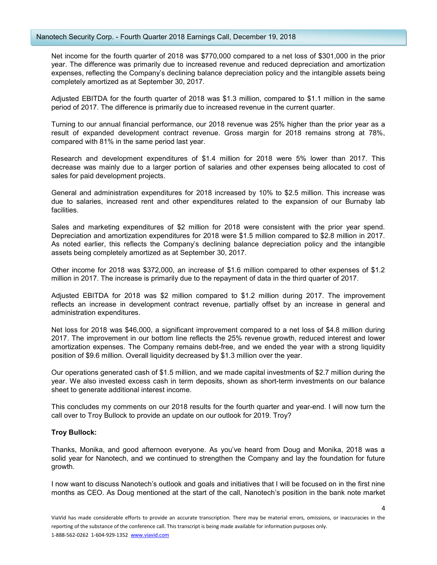Net income for the fourth quarter of 2018 was \$770,000 compared to a net loss of \$301,000 in the prior year. The difference was primarily due to increased revenue and reduced depreciation and amortization expenses, reflecting the Company's declining balance depreciation policy and the intangible assets being completely amortized as at September 30, 2017.

Adjusted EBITDA for the fourth quarter of 2018 was \$1.3 million, compared to \$1.1 million in the same period of 2017. The difference is primarily due to increased revenue in the current quarter.

Turning to our annual financial performance, our 2018 revenue was 25% higher than the prior year as a result of expanded development contract revenue. Gross margin for 2018 remains strong at 78%, compared with 81% in the same period last year.

Research and development expenditures of \$1.4 million for 2018 were 5% lower than 2017. This decrease was mainly due to a larger portion of salaries and other expenses being allocated to cost of sales for paid development projects.

General and administration expenditures for 2018 increased by 10% to \$2.5 million. This increase was due to salaries, increased rent and other expenditures related to the expansion of our Burnaby lab facilities.

Sales and marketing expenditures of \$2 million for 2018 were consistent with the prior year spend. Depreciation and amortization expenditures for 2018 were \$1.5 million compared to \$2.8 million in 2017. As noted earlier, this reflects the Company's declining balance depreciation policy and the intangible assets being completely amortized as at September 30, 2017.

Other income for 2018 was \$372,000, an increase of \$1.6 million compared to other expenses of \$1.2 million in 2017. The increase is primarily due to the repayment of data in the third quarter of 2017.

Adjusted EBITDA for 2018 was \$2 million compared to \$1.2 million during 2017. The improvement reflects an increase in development contract revenue, partially offset by an increase in general and administration expenditures.

Net loss for 2018 was \$46,000, a significant improvement compared to a net loss of \$4.8 million during 2017. The improvement in our bottom line reflects the 25% revenue growth, reduced interest and lower amortization expenses. The Company remains debt-free, and we ended the year with a strong liquidity position of \$9.6 million. Overall liquidity decreased by \$1.3 million over the year.

Our operations generated cash of \$1.5 million, and we made capital investments of \$2.7 million during the year. We also invested excess cash in term deposits, shown as short-term investments on our balance sheet to generate additional interest income.

This concludes my comments on our 2018 results for the fourth quarter and year-end. I will now turn the call over to Troy Bullock to provide an update on our outlook for 2019. Troy?

## Troy Bullock:

Thanks, Monika, and good afternoon everyone. As you've heard from Doug and Monika, 2018 was a solid year for Nanotech, and we continued to strengthen the Company and lay the foundation for future growth.

I now want to discuss Nanotech's outlook and goals and initiatives that I will be focused on in the first nine months as CEO. As Doug mentioned at the start of the call, Nanotech's position in the bank note market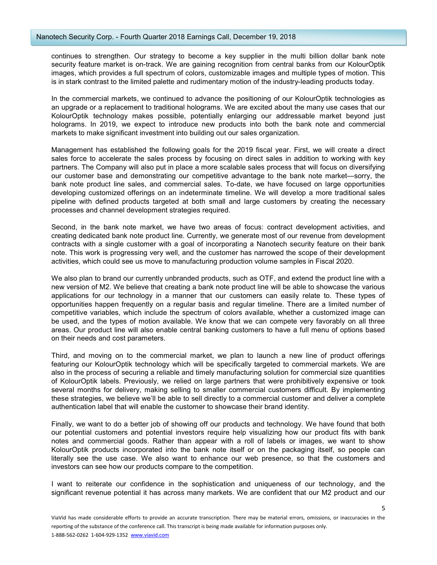continues to strengthen. Our strategy to become a key supplier in the multi billion dollar bank note security feature market is on-track. We are gaining recognition from central banks from our KolourOptik images, which provides a full spectrum of colors, customizable images and multiple types of motion. This is in stark contrast to the limited palette and rudimentary motion of the industry-leading products today.

In the commercial markets, we continued to advance the positioning of our KolourOptik technologies as an upgrade or a replacement to traditional holograms. We are excited about the many use cases that our KolourOptik technology makes possible, potentially enlarging our addressable market beyond just holograms. In 2019, we expect to introduce new products into both the bank note and commercial markets to make significant investment into building out our sales organization.

Management has established the following goals for the 2019 fiscal year. First, we will create a direct sales force to accelerate the sales process by focusing on direct sales in addition to working with key partners. The Company will also put in place a more scalable sales process that will focus on diversifying our customer base and demonstrating our competitive advantage to the bank note market—sorry, the bank note product line sales, and commercial sales. To-date, we have focused on large opportunities developing customized offerings on an indeterminate timeline. We will develop a more traditional sales pipeline with defined products targeted at both small and large customers by creating the necessary processes and channel development strategies required.

Second, in the bank note market, we have two areas of focus: contract development activities, and creating dedicated bank note product line. Currently, we generate most of our revenue from development contracts with a single customer with a goal of incorporating a Nanotech security feature on their bank note. This work is progressing very well, and the customer has narrowed the scope of their development activities, which could see us move to manufacturing production volume samples in Fiscal 2020.

We also plan to brand our currently unbranded products, such as OTF, and extend the product line with a new version of M2. We believe that creating a bank note product line will be able to showcase the various applications for our technology in a manner that our customers can easily relate to. These types of opportunities happen frequently on a regular basis and regular timeline. There are a limited number of competitive variables, which include the spectrum of colors available, whether a customized image can be used, and the types of motion available. We know that we can compete very favorably on all three areas. Our product line will also enable central banking customers to have a full menu of options based on their needs and cost parameters.

Third, and moving on to the commercial market, we plan to launch a new line of product offerings featuring our KolourOptik technology which will be specifically targeted to commercial markets. We are also in the process of securing a reliable and timely manufacturing solution for commercial size quantities of KolourOptik labels. Previously, we relied on large partners that were prohibitively expensive or took several months for delivery, making selling to smaller commercial customers difficult. By implementing these strategies, we believe we'll be able to sell directly to a commercial customer and deliver a complete authentication label that will enable the customer to showcase their brand identity.

Finally, we want to do a better job of showing off our products and technology. We have found that both our potential customers and potential investors require help visualizing how our product fits with bank notes and commercial goods. Rather than appear with a roll of labels or images, we want to show KolourOptik products incorporated into the bank note itself or on the packaging itself, so people can literally see the use case. We also want to enhance our web presence, so that the customers and investors can see how our products compare to the competition.

I want to reiterate our confidence in the sophistication and uniqueness of our technology, and the significant revenue potential it has across many markets. We are confident that our M2 product and our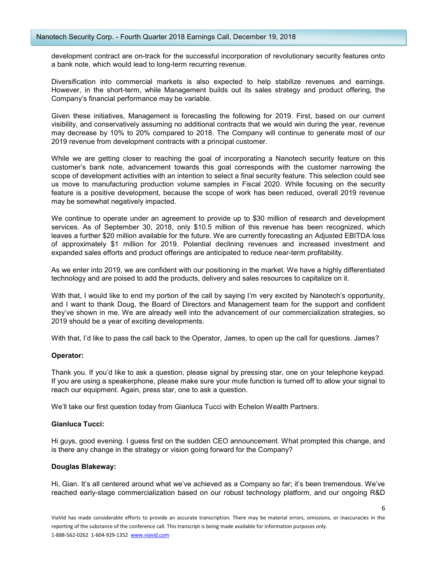development contract are on-track for the successful incorporation of revolutionary security features onto a bank note, which would lead to long-term recurring revenue.

Diversification into commercial markets is also expected to help stabilize revenues and earnings. However, in the short-term, while Management builds out its sales strategy and product offering, the Company's financial performance may be variable.

Given these initiatives, Management is forecasting the following for 2019. First, based on our current visibility, and conservatively assuming no additional contracts that we would win during the year, revenue may decrease by 10% to 20% compared to 2018. The Company will continue to generate most of our 2019 revenue from development contracts with a principal customer.

While we are getting closer to reaching the goal of incorporating a Nanotech security feature on this customer's bank note, advancement towards this goal corresponds with the customer narrowing the scope of development activities with an intention to select a final security feature. This selection could see us move to manufacturing production volume samples in Fiscal 2020. While focusing on the security feature is a positive development, because the scope of work has been reduced, overall 2019 revenue may be somewhat negatively impacted.

We continue to operate under an agreement to provide up to \$30 million of research and development services. As of September 30, 2018, only \$10.5 million of this revenue has been recognized, which leaves a further \$20 million available for the future. We are currently forecasting an Adjusted EBITDA loss of approximately \$1 million for 2019. Potential declining revenues and increased investment and expanded sales efforts and product offerings are anticipated to reduce near-term profitability.

As we enter into 2019, we are confident with our positioning in the market. We have a highly differentiated technology and are poised to add the products, delivery and sales resources to capitalize on it.

With that, I would like to end my portion of the call by saying I'm very excited by Nanotech's opportunity, and I want to thank Doug, the Board of Directors and Management team for the support and confident they've shown in me. We are already well into the advancement of our commercialization strategies, so 2019 should be a year of exciting developments.

With that, I'd like to pass the call back to the Operator, James, to open up the call for questions. James?

## Operator:

Thank you. If you'd like to ask a question, please signal by pressing star, one on your telephone keypad. If you are using a speakerphone, please make sure your mute function is turned off to allow your signal to reach our equipment. Again, press star, one to ask a question.

We'll take our first question today from Gianluca Tucci with Echelon Wealth Partners.

## Gianluca Tucci:

Hi guys, good evening. I guess first on the sudden CEO announcement. What prompted this change, and is there any change in the strategy or vision going forward for the Company?

## Douglas Blakeway:

Hi, Gian. It's all centered around what we've achieved as a Company so far; it's been tremendous. We've reached early-stage commercialization based on our robust technology platform, and our ongoing R&D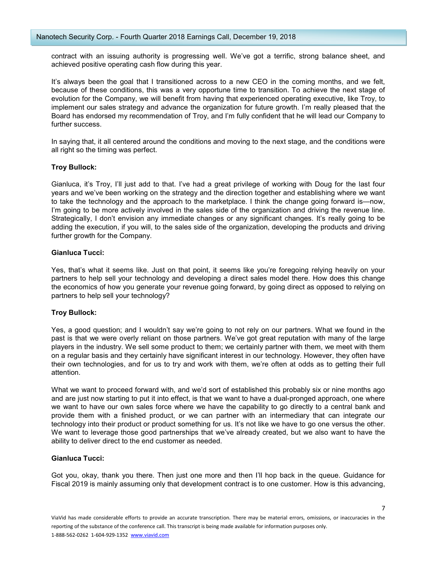contract with an issuing authority is progressing well. We've got a terrific, strong balance sheet, and achieved positive operating cash flow during this year.

It's always been the goal that I transitioned across to a new CEO in the coming months, and we felt, because of these conditions, this was a very opportune time to transition. To achieve the next stage of evolution for the Company, we will benefit from having that experienced operating executive, like Troy, to implement our sales strategy and advance the organization for future growth. I'm really pleased that the Board has endorsed my recommendation of Troy, and I'm fully confident that he will lead our Company to further success.

In saying that, it all centered around the conditions and moving to the next stage, and the conditions were all right so the timing was perfect.

## Troy Bullock:

Gianluca, it's Troy, I'll just add to that. I've had a great privilege of working with Doug for the last four years and we've been working on the strategy and the direction together and establishing where we want to take the technology and the approach to the marketplace. I think the change going forward is—now, I'm going to be more actively involved in the sales side of the organization and driving the revenue line. Strategically, I don't envision any immediate changes or any significant changes. It's really going to be adding the execution, if you will, to the sales side of the organization, developing the products and driving further growth for the Company.

## Gianluca Tucci:

Yes, that's what it seems like. Just on that point, it seems like you're foregoing relying heavily on your partners to help sell your technology and developing a direct sales model there. How does this change the economics of how you generate your revenue going forward, by going direct as opposed to relying on partners to help sell your technology?

## Troy Bullock:

Yes, a good question; and I wouldn't say we're going to not rely on our partners. What we found in the past is that we were overly reliant on those partners. We've got great reputation with many of the large players in the industry. We sell some product to them; we certainly partner with them, we meet with them on a regular basis and they certainly have significant interest in our technology. However, they often have their own technologies, and for us to try and work with them, we're often at odds as to getting their full attention.

What we want to proceed forward with, and we'd sort of established this probably six or nine months ago and are just now starting to put it into effect, is that we want to have a dual-pronged approach, one where we want to have our own sales force where we have the capability to go directly to a central bank and provide them with a finished product, or we can partner with an intermediary that can integrate our technology into their product or product something for us. It's not like we have to go one versus the other. We want to leverage those good partnerships that we've already created, but we also want to have the ability to deliver direct to the end customer as needed.

## Gianluca Tucci:

Got you, okay, thank you there. Then just one more and then I'll hop back in the queue. Guidance for Fiscal 2019 is mainly assuming only that development contract is to one customer. How is this advancing,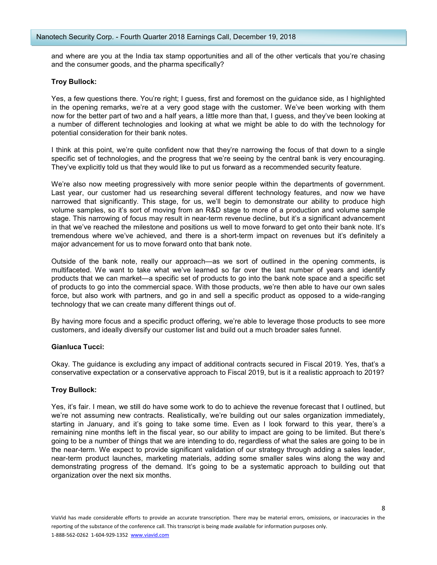and where are you at the India tax stamp opportunities and all of the other verticals that you're chasing and the consumer goods, and the pharma specifically?

## Troy Bullock:

Yes, a few questions there. You're right; I guess, first and foremost on the guidance side, as I highlighted in the opening remarks, we're at a very good stage with the customer. We've been working with them now for the better part of two and a half years, a little more than that, I guess, and they've been looking at a number of different technologies and looking at what we might be able to do with the technology for potential consideration for their bank notes.

I think at this point, we're quite confident now that they're narrowing the focus of that down to a single specific set of technologies, and the progress that we're seeing by the central bank is very encouraging. They've explicitly told us that they would like to put us forward as a recommended security feature.

We're also now meeting progressively with more senior people within the departments of government. Last year, our customer had us researching several different technology features, and now we have narrowed that significantly. This stage, for us, we'll begin to demonstrate our ability to produce high volume samples, so it's sort of moving from an R&D stage to more of a production and volume sample stage. This narrowing of focus may result in near-term revenue decline, but it's a significant advancement in that we've reached the milestone and positions us well to move forward to get onto their bank note. It's tremendous where we've achieved, and there is a short-term impact on revenues but it's definitely a major advancement for us to move forward onto that bank note.

Outside of the bank note, really our approach—as we sort of outlined in the opening comments, is multifaceted. We want to take what we've learned so far over the last number of years and identify products that we can market—a specific set of products to go into the bank note space and a specific set of products to go into the commercial space. With those products, we're then able to have our own sales force, but also work with partners, and go in and sell a specific product as opposed to a wide-ranging technology that we can create many different things out of.

By having more focus and a specific product offering, we're able to leverage those products to see more customers, and ideally diversify our customer list and build out a much broader sales funnel.

## Gianluca Tucci:

Okay. The guidance is excluding any impact of additional contracts secured in Fiscal 2019. Yes, that's a conservative expectation or a conservative approach to Fiscal 2019, but is it a realistic approach to 2019?

## Troy Bullock:

Yes, it's fair. I mean, we still do have some work to do to achieve the revenue forecast that I outlined, but we're not assuming new contracts. Realistically, we're building out our sales organization immediately, starting in January, and it's going to take some time. Even as I look forward to this year, there's a remaining nine months left in the fiscal year, so our ability to impact are going to be limited. But there's going to be a number of things that we are intending to do, regardless of what the sales are going to be in the near-term. We expect to provide significant validation of our strategy through adding a sales leader, near-term product launches, marketing materials, adding some smaller sales wins along the way and demonstrating progress of the demand. It's going to be a systematic approach to building out that organization over the next six months.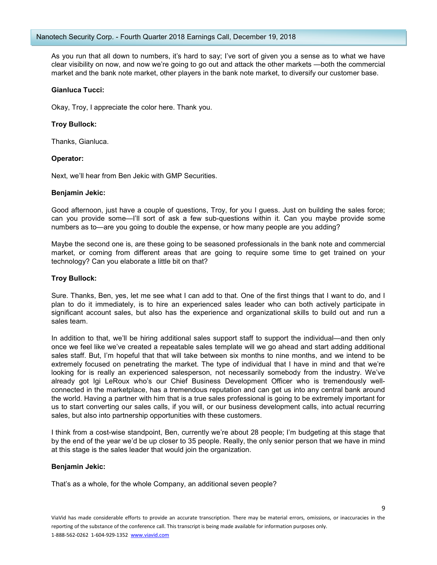As you run that all down to numbers, it's hard to say; I've sort of given you a sense as to what we have clear visibility on now, and now we're going to go out and attack the other markets —both the commercial market and the bank note market, other players in the bank note market, to diversify our customer base.

#### Gianluca Tucci:

Okay, Troy, I appreciate the color here. Thank you.

## Troy Bullock:

Thanks, Gianluca.

## Operator:

Next, we'll hear from Ben Jekic with GMP Securities.

#### Benjamin Jekic:

Good afternoon, just have a couple of questions, Troy, for you I guess. Just on building the sales force; can you provide some—I'll sort of ask a few sub-questions within it. Can you maybe provide some numbers as to—are you going to double the expense, or how many people are you adding?

Maybe the second one is, are these going to be seasoned professionals in the bank note and commercial market, or coming from different areas that are going to require some time to get trained on your technology? Can you elaborate a little bit on that?

#### Troy Bullock:

Sure. Thanks, Ben, yes, let me see what I can add to that. One of the first things that I want to do, and I plan to do it immediately, is to hire an experienced sales leader who can both actively participate in significant account sales, but also has the experience and organizational skills to build out and run a sales team.

In addition to that, we'll be hiring additional sales support staff to support the individual—and then only once we feel like we've created a repeatable sales template will we go ahead and start adding additional sales staff. But, I'm hopeful that that will take between six months to nine months, and we intend to be extremely focused on penetrating the market. The type of individual that I have in mind and that we're looking for is really an experienced salesperson, not necessarily somebody from the industry. We've already got Igi LeRoux who's our Chief Business Development Officer who is tremendously wellconnected in the marketplace, has a tremendous reputation and can get us into any central bank around the world. Having a partner with him that is a true sales professional is going to be extremely important for us to start converting our sales calls, if you will, or our business development calls, into actual recurring sales, but also into partnership opportunities with these customers.

I think from a cost-wise standpoint, Ben, currently we're about 28 people; I'm budgeting at this stage that by the end of the year we'd be up closer to 35 people. Really, the only senior person that we have in mind at this stage is the sales leader that would join the organization.

#### Benjamin Jekic:

That's as a whole, for the whole Company, an additional seven people?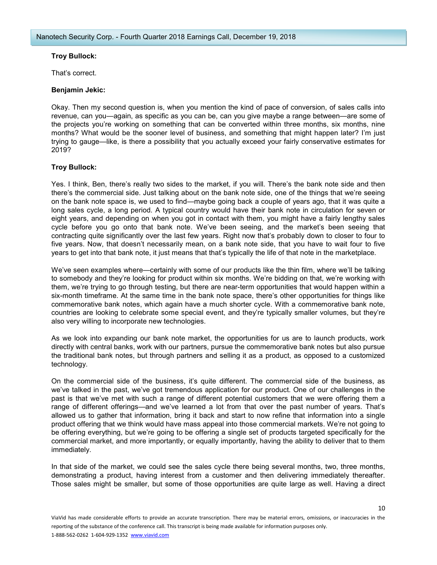## Troy Bullock:

That's correct.

## Benjamin Jekic:

Okay. Then my second question is, when you mention the kind of pace of conversion, of sales calls into revenue, can you—again, as specific as you can be, can you give maybe a range between—are some of the projects you're working on something that can be converted within three months, six months, nine months? What would be the sooner level of business, and something that might happen later? I'm just trying to gauge—like, is there a possibility that you actually exceed your fairly conservative estimates for 2019?

# Troy Bullock:

Yes. I think, Ben, there's really two sides to the market, if you will. There's the bank note side and then there's the commercial side. Just talking about on the bank note side, one of the things that we're seeing on the bank note space is, we used to find—maybe going back a couple of years ago, that it was quite a long sales cycle, a long period. A typical country would have their bank note in circulation for seven or eight years, and depending on when you got in contact with them, you might have a fairly lengthy sales cycle before you go onto that bank note. We've been seeing, and the market's been seeing that contracting quite significantly over the last few years. Right now that's probably down to closer to four to five years. Now, that doesn't necessarily mean, on a bank note side, that you have to wait four to five years to get into that bank note, it just means that that's typically the life of that note in the marketplace.

We've seen examples where—certainly with some of our products like the thin film, where we'll be talking to somebody and they're looking for product within six months. We're bidding on that, we're working with them, we're trying to go through testing, but there are near-term opportunities that would happen within a six-month timeframe. At the same time in the bank note space, there's other opportunities for things like commemorative bank notes, which again have a much shorter cycle. With a commemorative bank note, countries are looking to celebrate some special event, and they're typically smaller volumes, but they're also very willing to incorporate new technologies.

As we look into expanding our bank note market, the opportunities for us are to launch products, work directly with central banks, work with our partners, pursue the commemorative bank notes but also pursue the traditional bank notes, but through partners and selling it as a product, as opposed to a customized technology.

On the commercial side of the business, it's quite different. The commercial side of the business, as we've talked in the past, we've got tremendous application for our product. One of our challenges in the past is that we've met with such a range of different potential customers that we were offering them a range of different offerings—and we've learned a lot from that over the past number of years. That's allowed us to gather that information, bring it back and start to now refine that information into a single product offering that we think would have mass appeal into those commercial markets. We're not going to be offering everything, but we're going to be offering a single set of products targeted specifically for the commercial market, and more importantly, or equally importantly, having the ability to deliver that to them immediately.

In that side of the market, we could see the sales cycle there being several months, two, three months, demonstrating a product, having interest from a customer and then delivering immediately thereafter. Those sales might be smaller, but some of those opportunities are quite large as well. Having a direct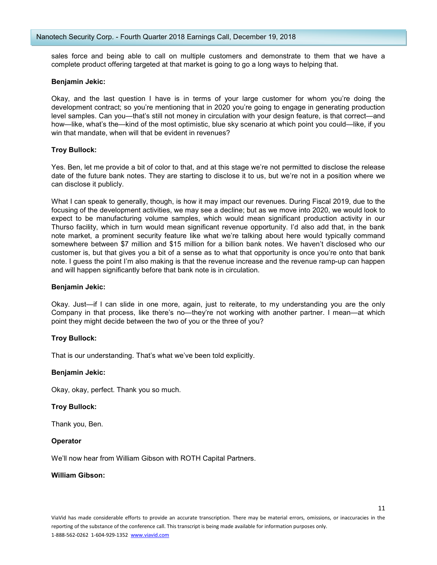sales force and being able to call on multiple customers and demonstrate to them that we have a complete product offering targeted at that market is going to go a long ways to helping that.

#### Benjamin Jekic:

Okay, and the last question I have is in terms of your large customer for whom you're doing the development contract; so you're mentioning that in 2020 you're going to engage in generating production level samples. Can you—that's still not money in circulation with your design feature, is that correct—and how—like, what's the—kind of the most optimistic, blue sky scenario at which point you could—like, if you win that mandate, when will that be evident in revenues?

#### Troy Bullock:

Yes. Ben, let me provide a bit of color to that, and at this stage we're not permitted to disclose the release date of the future bank notes. They are starting to disclose it to us, but we're not in a position where we can disclose it publicly.

What I can speak to generally, though, is how it may impact our revenues. During Fiscal 2019, due to the focusing of the development activities, we may see a decline; but as we move into 2020, we would look to expect to be manufacturing volume samples, which would mean significant production activity in our Thurso facility, which in turn would mean significant revenue opportunity. I'd also add that, in the bank note market, a prominent security feature like what we're talking about here would typically command somewhere between \$7 million and \$15 million for a billion bank notes. We haven't disclosed who our customer is, but that gives you a bit of a sense as to what that opportunity is once you're onto that bank note. I guess the point I'm also making is that the revenue increase and the revenue ramp-up can happen and will happen significantly before that bank note is in circulation.

#### Benjamin Jekic:

Okay. Just—if I can slide in one more, again, just to reiterate, to my understanding you are the only Company in that process, like there's no—they're not working with another partner. I mean—at which point they might decide between the two of you or the three of you?

## Troy Bullock:

That is our understanding. That's what we've been told explicitly.

#### Benjamin Jekic:

Okay, okay, perfect. Thank you so much.

## Troy Bullock:

Thank you, Ben.

#### **Operator**

We'll now hear from William Gibson with ROTH Capital Partners.

#### William Gibson: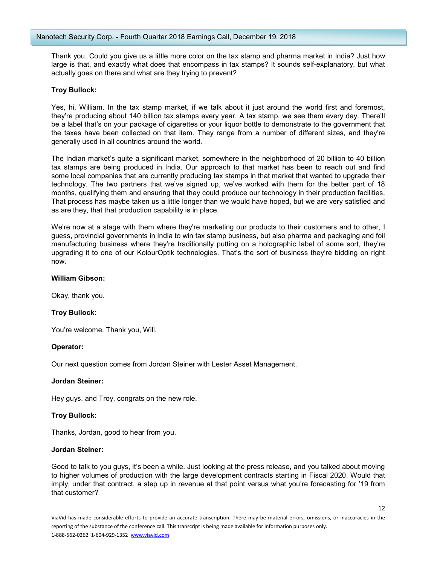Thank you. Could you give us a little more color on the tax stamp and pharma market in India? Just how large is that, and exactly what does that encompass in tax stamps? It sounds self-explanatory, but what actually goes on there and what are they trying to prevent?

#### Troy Bullock:

Yes, hi, William. In the tax stamp market, if we talk about it just around the world first and foremost, they're producing about 140 billion tax stamps every year. A tax stamp, we see them every day. There'll be a label that's on your package of cigarettes or your liquor bottle to demonstrate to the government that the taxes have been collected on that item. They range from a number of different sizes, and they're generally used in all countries around the world.

The Indian market's quite a significant market, somewhere in the neighborhood of 20 billion to 40 billion tax stamps are being produced in India. Our approach to that market has been to reach out and find some local companies that are currently producing tax stamps in that market that wanted to upgrade their technology. The two partners that we've signed up, we've worked with them for the better part of 18 months, qualifying them and ensuring that they could produce our technology in their production facilities. That process has maybe taken us a little longer than we would have hoped, but we are very satisfied and as are they, that that production capability is in place.

We're now at a stage with them where they're marketing our products to their customers and to other, I guess, provincial governments in India to win tax stamp business, but also pharma and packaging and foil manufacturing business where they're traditionally putting on a holographic label of some sort, they're upgrading it to one of our KolourOptik technologies. That's the sort of business they're bidding on right now.

## William Gibson:

Okay, thank you.

## Troy Bullock:

You're welcome. Thank you, Will.

#### Operator:

Our next question comes from Jordan Steiner with Lester Asset Management.

#### Jordan Steiner:

Hey guys, and Troy, congrats on the new role.

## Troy Bullock:

Thanks, Jordan, good to hear from you.

#### Jordan Steiner:

Good to talk to you guys, it's been a while. Just looking at the press release, and you talked about moving to higher volumes of production with the large development contracts starting in Fiscal 2020. Would that imply, under that contract, a step up in revenue at that point versus what you're forecasting for '19 from that customer?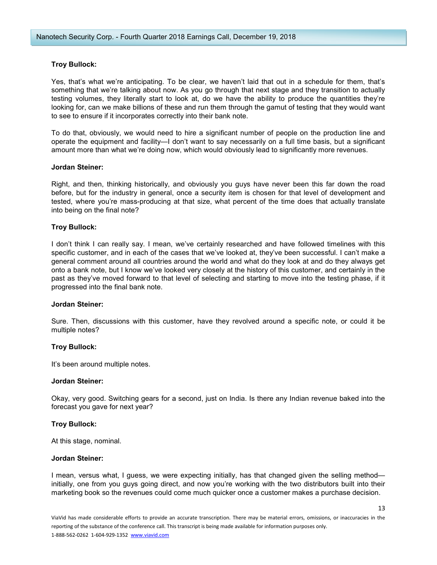## Troy Bullock:

Yes, that's what we're anticipating. To be clear, we haven't laid that out in a schedule for them, that's something that we're talking about now. As you go through that next stage and they transition to actually testing volumes, they literally start to look at, do we have the ability to produce the quantities they're looking for, can we make billions of these and run them through the gamut of testing that they would want to see to ensure if it incorporates correctly into their bank note.

To do that, obviously, we would need to hire a significant number of people on the production line and operate the equipment and facility—I don't want to say necessarily on a full time basis, but a significant amount more than what we're doing now, which would obviously lead to significantly more revenues.

#### Jordan Steiner:

Right, and then, thinking historically, and obviously you guys have never been this far down the road before, but for the industry in general, once a security item is chosen for that level of development and tested, where you're mass-producing at that size, what percent of the time does that actually translate into being on the final note?

#### Troy Bullock:

I don't think I can really say. I mean, we've certainly researched and have followed timelines with this specific customer, and in each of the cases that we've looked at, they've been successful. I can't make a general comment around all countries around the world and what do they look at and do they always get onto a bank note, but I know we've looked very closely at the history of this customer, and certainly in the past as they've moved forward to that level of selecting and starting to move into the testing phase, if it progressed into the final bank note.

#### Jordan Steiner:

Sure. Then, discussions with this customer, have they revolved around a specific note, or could it be multiple notes?

## Troy Bullock:

It's been around multiple notes.

#### Jordan Steiner:

Okay, very good. Switching gears for a second, just on India. Is there any Indian revenue baked into the forecast you gave for next year?

#### Troy Bullock:

At this stage, nominal.

#### Jordan Steiner:

I mean, versus what, I guess, we were expecting initially, has that changed given the selling method initially, one from you guys going direct, and now you're working with the two distributors built into their marketing book so the revenues could come much quicker once a customer makes a purchase decision.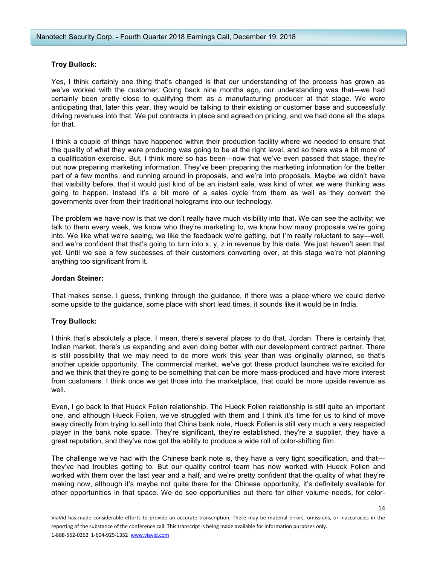## Troy Bullock:

Yes, I think certainly one thing that's changed is that our understanding of the process has grown as we've worked with the customer. Going back nine months ago, our understanding was that—we had certainly been pretty close to qualifying them as a manufacturing producer at that stage. We were anticipating that, later this year, they would be talking to their existing or customer base and successfully driving revenues into that. We put contracts in place and agreed on pricing, and we had done all the steps for that.

I think a couple of things have happened within their production facility where we needed to ensure that the quality of what they were producing was going to be at the right level, and so there was a bit more of a qualification exercise. But, I think more so has been—now that we've even passed that stage, they're out now preparing marketing information. They've been preparing the marketing information for the better part of a few months, and running around in proposals, and we're into proposals. Maybe we didn't have that visibility before, that it would just kind of be an instant sale, was kind of what we were thinking was going to happen. Instead it's a bit more of a sales cycle from them as well as they convert the governments over from their traditional holograms into our technology.

The problem we have now is that we don't really have much visibility into that. We can see the activity; we talk to them every week, we know who they're marketing to, we know how many proposals we're going into. We like what we're seeing, we like the feedback we're getting, but I'm really reluctant to say—well, and we're confident that that's going to turn into x,  $y$ , z in revenue by this date. We just haven't seen that yet. Until we see a few successes of their customers converting over, at this stage we're not planning anything too significant from it.

## Jordan Steiner:

That makes sense. I guess, thinking through the guidance, if there was a place where we could derive some upside to the guidance, some place with short lead times, it sounds like it would be in India.

## Troy Bullock:

I think that's absolutely a place. I mean, there's several places to do that, Jordan. There is certainly that Indian market, there's us expanding and even doing better with our development contract partner. There is still possibility that we may need to do more work this year than was originally planned, so that's another upside opportunity. The commercial market, we've got these product launches we're excited for and we think that they're going to be something that can be more mass-produced and have more interest from customers. I think once we get those into the marketplace, that could be more upside revenue as well.

Even, I go back to that Hueck Folien relationship. The Hueck Folien relationship is still quite an important one, and although Hueck Folien, we've struggled with them and I think it's time for us to kind of move away directly from trying to sell into that China bank note, Hueck Folien is still very much a very respected player in the bank note space. They're significant, they're established, they're a supplier, they have a great reputation, and they've now got the ability to produce a wide roll of color-shifting film.

The challenge we've had with the Chinese bank note is, they have a very tight specification, and that they've had troubles getting to. But our quality control team has now worked with Hueck Folien and worked with them over the last year and a half, and we're pretty confident that the quality of what they're making now, although it's maybe not quite there for the Chinese opportunity, it's definitely available for other opportunities in that space. We do see opportunities out there for other volume needs, for color-